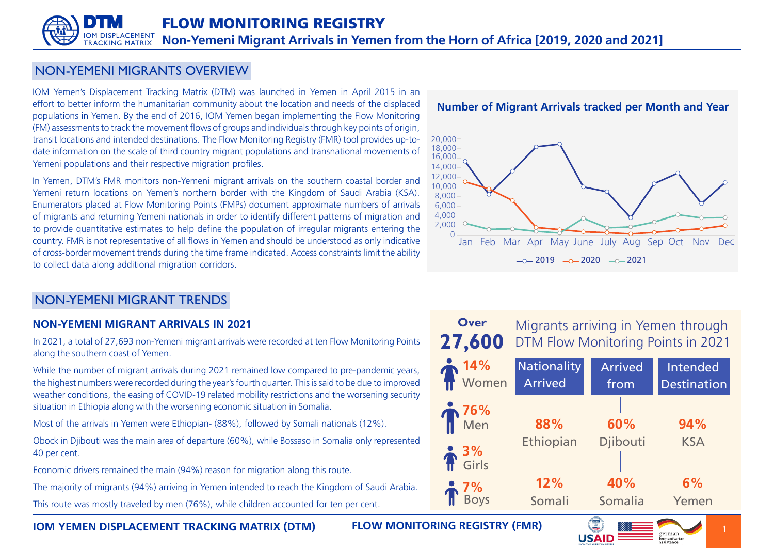# NON-YEMENI MIGRANTS OVERVIEW

IOM Yemen's Displacement Tracking Matrix (DTM) was launched in Yemen in April 2015 in an effort to better inform the humanitarian community about the location and needs of the displaced populations in Yemen. By the end of 2016, IOM Yemen began implementing the Flow Monitoring (FM) assessments to track the movement flows of groups and individuals through key points of origin, date information on the scale of third country migrant populations and transnational movements of transit locations and intended destinations. The Flow Monitoring Registry (FMR) tool provides up-to-Yemeni populations and their respective migration profiles.

In Yemen, DTM's FMR monitors non-Yemeni migrant arrivals on the southern coastal border and Yemeni return locations on Yemen's northern border with the Kingdom of Saudi Arabia (KSA). Enumerators placed at Flow Monitoring Points (FMPs) document approximate numbers of arrivals of migrants and returning Yemeni nationals in order to identify different patterns of migration and to provide quantitative estimates to help define the population of irregular migrants entering the country. FMR is not representative of all flows in Yemen and should be understood as only indicative of cross-border movement trends during the time frame indicated. Access constraints limit the ability to collect data along additional migration corridors.

# **Number of Migrant Arrivals tracked per Month and Year**



# NON-YEMENI MIGRANT TRENDS

# **NON-YEMENI MIGRANT ARRIVALS IN 2021**

In 2021, a total of 27,693 non-Yemeni migrant arrivals were recorded at ten Flow Monitoring Points along the southern coast of Yemen.

While the number of migrant arrivals during 2021 remained low compared to pre-pandemic years. the highest numbers were recorded during the vear's fourth quarter. This is said to be due to improved weather conditions, the easing of COVID-19 related mobility restrictions and the worsening security situation in Ethiopia along with the worsening economic situation in Somalia.

Most of the arrivals in Yemen were Ethiopian- (88%), followed by Somali nationals (12%).

Obock in Djibouti was the main area of departure (60%), while Bossaso in Somalia only represented 40 per cent.

Economic drivers remained the main (94%) reason for migration along this route.

The majority of migrants (94%) arriving in Yemen intended to reach the Kingdom of Saudi Arabia.

This route was mostly traveled by men (76%), while children accounted for ten per cent.

**27,600** Migrants arriving in Yemen through DTM Flow Monitoring Points in 2021 **Over**



G

**(FMR)** IOM YEMEN DISPLACEMENT TRACKING MATRIX (DTM) FLOW MONITORING REGISTRY (FMR)

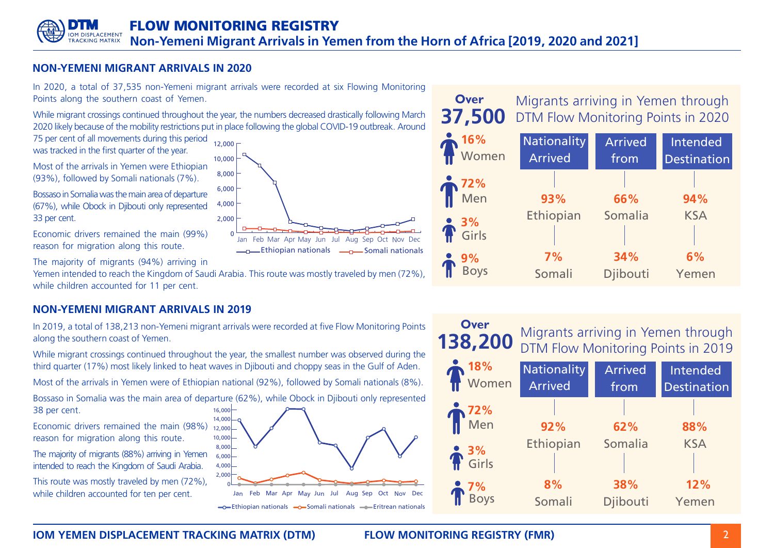Ethiopian nationals **Electionals** Somali nationals Jan Feb Mar Apr May Jun Jul Aug Sep Oct Nov

# **NON-YEMENI MIGRANT ARRIVALS IN 2020**

In 2020, a total of 37,535 non-Yemeni migrant arrivals were recorded at six Flowing Monitoring Points along the southern coast of Yemen.

While migrant crossings continued throughout the year, the numbers decreased drastically following March 2020 likely because of the mobility restrictions put in place following the global COVID-19 outbreak. Around

75 per cent of all movements during this period was tracked in the first quarter of the year.

Most of the arrivals in Yemen were Ethiopian  $(93%)$ , followed by Somali nationals  $(7%)$ .

Bossaso in Somalia was the main area of departure (67%), while Obock in Djibouti only represented 33 per cent. 4,000

Economic drivers remained the main (99%) reason for migration along this route.

The majority of migrants (94%) arriving in

Yemen intended to reach the Kingdom of Saudi Arabia. This route was mostly traveled by men (72%), while children accounted for 11 per cent.

0 2,000

6,000 8,000 10,000  $12,000 -$ 

# **NON-YEMENI MIGRANT ARRIVALS IN 2019**

In 2019, a total of 138,213 non-Yemeni migrant arrivals were recorded at five Flow Monitoring Points along the southern coast of Yemen.

While migrant crossings continued throughout the year, the smallest number was observed during the third quarter (17%) most likely linked to heat waves in Djibouti and choppy seas in the Gulf of Aden.

.(8%) Most of the arrivals in Yemen were of Ethiopian national (92%), followed by Somali nationals (8%)

16,000 Bossaso in Somalia was the main area of departure (62%), while Obock in Djibouti only represented 38 per cent.

Economic drivers remained the main (98%) reason for migration along this route.

The majority of migrants (88%) arriving in Yemen intended to reach the Kingdom of Saudi Arabia.

This route was mostly traveled by men (72%). while children accounted for ten per cent.



## **37,500** Migrants arriving in Yemen through DTM Flow Monitoring Points in 2020





**10M YEMEN DISPLACEMENT TRACKING MATRIX (DTM) BELOW MONITORING REGISTRY (FMR) DEVITED A 2** 

**Over**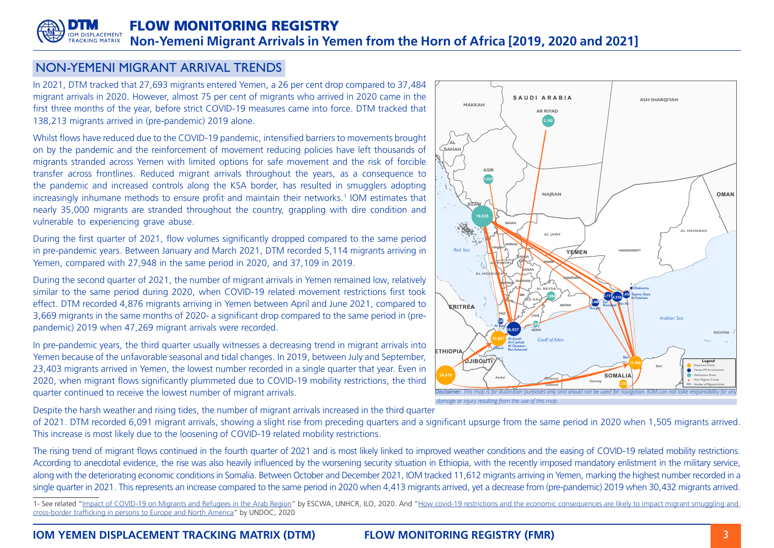### **FLOW MONITORING REGISTRY IOM DISPLACEMENT Non-Yemeni Migrant Arrivals in Yemen from the Horn of Africa [2019, 2020 and 2021] TRACKING MATRIX**

# NON-YEMENI MIGRANT ARRIVAL TRENDS

In 2021, DTM tracked that 27,693 migrants entered Yemen, a 26 per cent drop compared to 37,484 migrant arrivals in 2020. However, almost 75 per cent of migrants who arrived in 2020 came in the first three months of the year, before strict COVID-19 measures came into force. DTM tracked that 138,213 migrants arrived in (pre-pandemic) 2019 alone.

Whilst flows have reduced due to the COVID-19 pandemic, intensified barriers to movements brought on by the pandemic and the reinforcement of movement reducing policies have left thousands of migrants stranded across Yemen with limited options for safe movement and the risk of forcible transfer across frontlines. Reduced migrant arrivals throughout the years, as a consequence to the pandemic and increased controls along the KSA border, has resulted in smugglers adopting increasingly inhumane methods to ensure profit and maintain their networks.<sup>1</sup> IOM estimates that nearly 35,000 migrants are stranded throughout the country, grappling with dire condition and vulnerable to experiencing grave abuse.

During the first quarter of 2021, flow volumes significantly dropped compared to the same period in pre-pandemic years. Between January and March 2021, DTM recorded 5,114 migrants arriving in Yemen, compared with 27,948 in the same period in 2020, and 37,109 in 2019.

During the second quarter of 2021, the number of migrant arrivals in Yemen remained low, relatively similar to the same period during 2020, when COVID-19 related movement restrictions first took effect. DTM recorded 4,876 migrants arriving in Yemen between April and June 2021, compared to pandemic) 2019 when 47,269 migrant arrivals were recorded. 3.669 migrants in the same months of 2020- a significant drop compared to the same period in (pre-

In pre-pandemic years, the third quarter usually witnesses a decreasing trend in migrant arrivals into Yemen because of the unfavorable seasonal and tidal changes. In 2019, between July and September, 23,403 migrants arrived in Yemen, the lowest number recorded in a single guarter that year. Even in 2020, when migrant flows significantly plummeted due to COVID-19 mobility restrictions, the third quarter continued to receive the lowest number of migrant arrivals.

Despite the harsh weather and rising tides, the number of migrant arrivals increased in the third guarter

of 2021. DTM recorded 6,091 migrant arrivals, showing a slight rise from preceding quarters and a significant upsurge from the same period in 2020 when 1,505 migrants arrived. This increase is most likely due to the loosening of COVID-19 related mobility restrictions.

The rising trend of migrant flows continued in the fourth quarter of 2021 and is most likely linked to improved weather conditions and the easing of COVID-19 related mobility restrictions. According to anecdotal evidence, the rise was also heavily influenced by the worsening security situation in Ethiopia, with the recently imposed mandatory enlistment in the military service, along with the deteriorating economic conditions in Somalia. Between October and December 2021, IOM tracked 11,612 migrants arriving in Yemen, marking the highest number recorded in a single quarter in 2021. This represents an increase compared to the same period in 2020 when 4,413 migrants arrived, yet a decrease from (pre-pandemic) 2019 when 30,432 migrants arrived.

1- See related "Impact of COVID-19 on Migrants and Refugees in the Arab Region" by ESCWA, UNHCR, ILO, 2020. And "How covid-19 restrictions and the economic consequences are likely to impact migrant smuggling and cross-border trafficking in persons to Europe and North America" by UNDOC, 2020